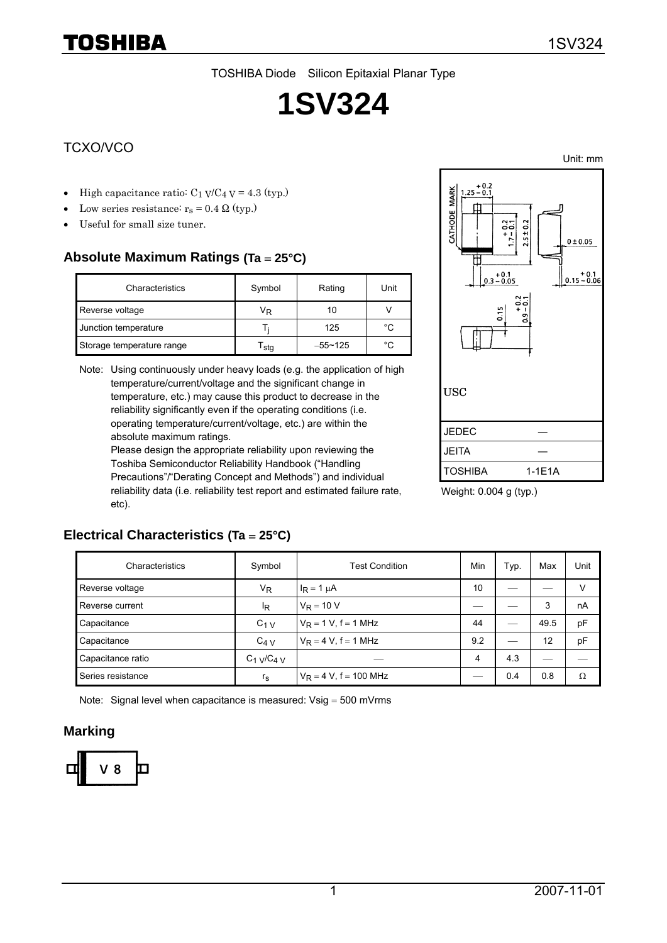TOSHIBA Diode Silicon Epitaxial Planar Type

# **1SV324**

### TCXO/VCO

- High capacitance ratio:  $C_1$  V/C<sub>4</sub> V = 4.3 (typ.)
- Low series resistance:  $r_s = 0.4 \Omega$  (typ.)
- Useful for small size tuner.

## **Absolute Maximum Ratings (Ta** = **25°C)**

| Characteristics           | Symbol | Rating      | Unit |
|---------------------------|--------|-------------|------|
| Reverse voltage           | VŖ     | 10          |      |
| Junction temperature      |        | 125         | °C   |
| Storage temperature range | sta    | $-55 - 125$ | °C   |

Note: Using continuously under heavy loads (e.g. the application of high temperature/current/voltage and the significant change in temperature, etc.) may cause this product to decrease in the reliability significantly even if the operating conditions (i.e. operating temperature/current/voltage, etc.) are within the absolute maximum ratings.

Please design the appropriate reliability upon reviewing the Toshiba Semiconductor Reliability Handbook ("Handling Precautions"/"Derating Concept and Methods") and individual reliability data (i.e. reliability test report and estimated failure rate, etc).



Weight: 0.004 g (typ.)

#### **Electrical Characteristics (Ta** = **25°C)**

| Characteristics   | Symbol            | <b>Test Condition</b>     | Min | Typ. | Max  | Unit |
|-------------------|-------------------|---------------------------|-----|------|------|------|
| Reverse voltage   | V <sub>R</sub>    | $I_R = 1 \mu A$           | 10  |      |      | v    |
| Reverse current   | ΙŖ                | $V_R = 10 V$              |     |      | 3    | nA   |
| Capacitance       | $C1$ V            | $V_R = 1 V$ , f = 1 MHz   | 44  |      | 49.5 | pF   |
| Capacitance       | $C_{4}$ V         | $V_R = 4 V$ , f = 1 MHz   | 9.2 | —    | 12   | pF   |
| Capacitance ratio | $C_1$ $V/C_4$ $V$ |                           | 4   | 4.3  |      |      |
| Series resistance | $r_{\rm s}$       | $V_R = 4 V$ , f = 100 MHz |     | 0.4  | 0.8  | Ω    |

Note: Signal level when capacitance is measured: Vsig = 500 mVrms

#### **Marking**



Unit: mm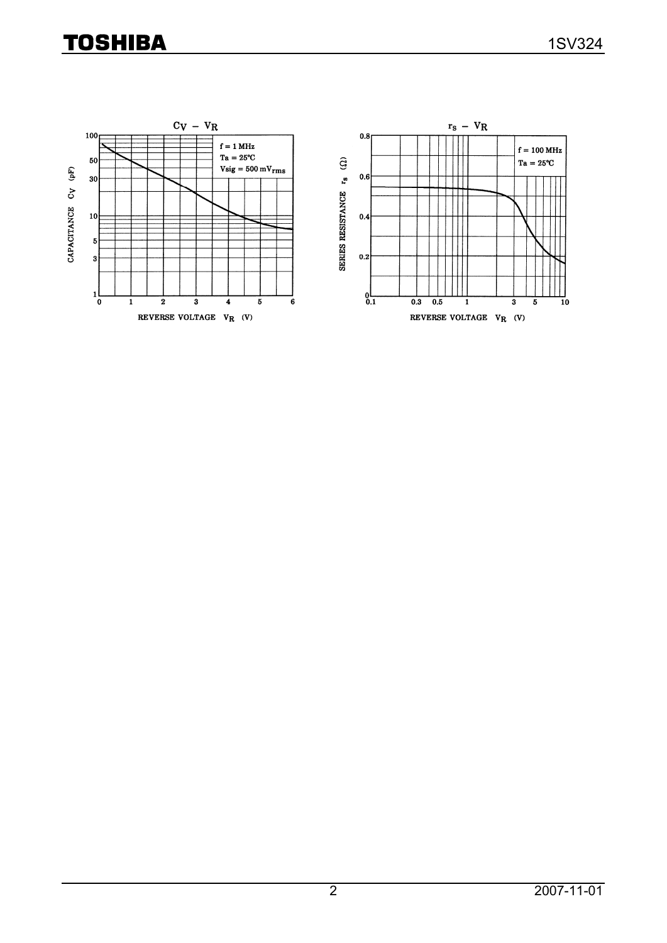